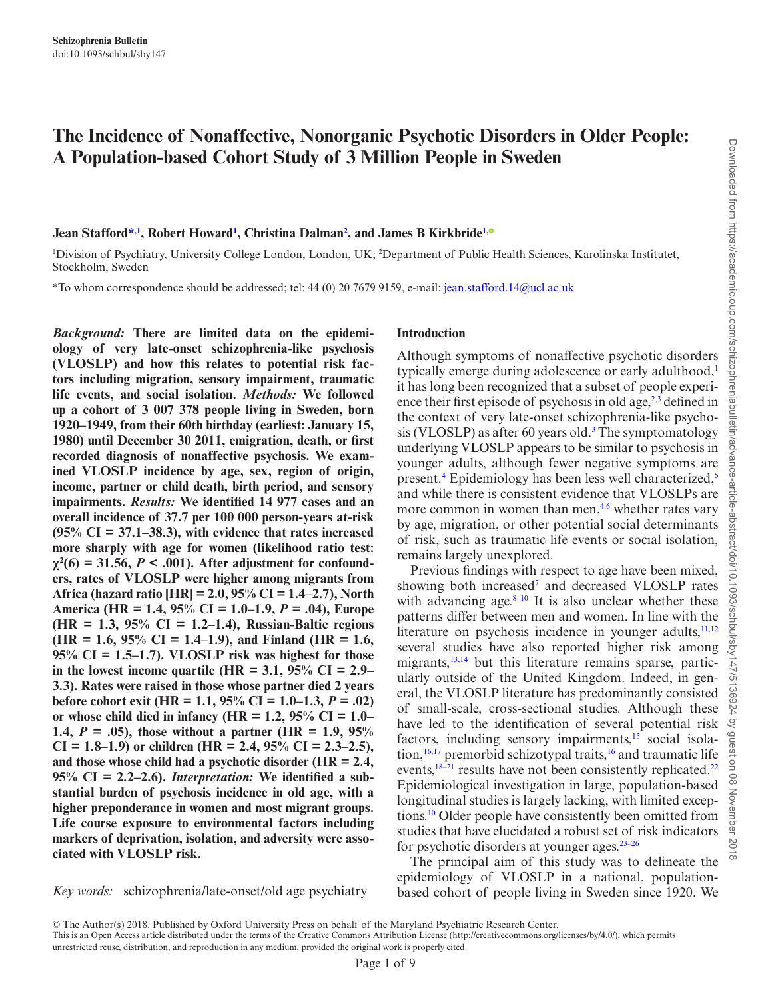# **The Incidence of Nonaffective, Nonorganic Psychotic Disorders in Older People: A Population-based Cohort Study of 3 Million People in Sweden**

# **Jean Staffor[d\\*](#page-0-0)[,1](#page-0-1) , Robert Howard[1](#page-0-1) , Christina Dalma[n2](#page-0-2) , and James B Kirkbrid[e1](#page-0-1)[,](http://orcid.org/0000-0003-3401-0824)**

<span id="page-0-2"></span><span id="page-0-1"></span>1 Division of Psychiatry, University College London, London, UK; 2 Department of Public Health Sciences, Karolinska Institutet, Stockholm, Sweden

<span id="page-0-0"></span>\*To whom correspondence should be addressed; tel: 44 (0) 20 7679 9159, e-mail: [jean.stafford.14@ucl.ac.uk](mailto:jean.stafford.14@ucl.ac.uk?subject=)

*Background:* **There are limited data on the epidemiology of very late-onset schizophrenia-like psychosis (VLOSLP) and how this relates to potential risk factors including migration, sensory impairment, traumatic life events, and social isolation.** *Methods:* **We followed up a cohort of 3 007 378 people living in Sweden, born 1920–1949, from their 60th birthday (earliest: January 15, 1980) until December 30 2011, emigration, death, or first recorded diagnosis of nonaffective psychosis. We examined VLOSLP incidence by age, sex, region of origin, income, partner or child death, birth period, and sensory impairments.** *Results:* **We identified 14 977 cases and an overall incidence of 37.7 per 100 000 person-years at-risk (95% CI = 37.1–38.3), with evidence that rates increased more sharply with age for women (likelihood ratio test:**   $\chi^2(6) = 31.56$ ,  $P < .001$ ). After adjustment for confound**ers, rates of VLOSLP were higher among migrants from Africa (hazard ratio [HR] = 2.0, 95% CI = 1.4–2.7), North America (HR = 1.4, 95% CI = 1.0–1.9,** *P* **= .04), Europe (HR = 1.3, 95% CI = 1.2–1.4), Russian-Baltic regions (HR = 1.6, 95% CI = 1.4–1.9), and Finland (HR = 1.6, 95% CI = 1.5–1.7). VLOSLP risk was highest for those**  in the lowest income quartile (HR  $= 3.1, 95\%$  CI  $= 2.9-$ **3.3). Rates were raised in those whose partner died 2 years before cohort exit (HR = 1.1, 95% CI = 1.0–1.3,**  $P = .02$ **) or whose child died in infancy (HR = 1.2, 95% CI = 1.0– 1.4,**  $P = .05$ **), those without a partner (HR = 1.9, 95%) CI = 1.8–1.9) or children (HR = 2.4, 95% CI = 2.3–2.5), and those whose child had a psychotic disorder (HR = 2.4, 95% CI = 2.2–2.6).** *Interpretation:* **We identified a substantial burden of psychosis incidence in old age, with a higher preponderance in women and most migrant groups. Life course exposure to environmental factors including markers of deprivation, isolation, and adversity were associated with VLOSLP risk.**

## *Key words:* schizophrenia/late-onset/old age psychiatry

#### **Introduction**

Although symptoms of nonaffective psychotic disorders typically emerge during adolescence or early adulthood,<sup>[1](#page-6-0)</sup> it has long been recognized that a subset of people experi-ence their first episode of psychosis in old age,<sup>2[,3](#page-6-2)</sup> defined in the context of very late-onset schizophrenia-like psycho-sis (VLOSLP) as after 60 years old.<sup>[3](#page-6-2)</sup> The symptomatology underlying VLOSLP appears to be similar to psychosis in younger adults, although fewer negative symptoms are present.<sup>4</sup> Epidemiology has been less well characterized,<sup>[5](#page-6-4)</sup> and while there is consistent evidence that VLOSLPs are more common in women than men,<sup>4[,6](#page-6-5)</sup> whether rates vary by age, migration, or other potential social determinants of risk, such as traumatic life events or social isolation, remains largely unexplored.

Previous findings with respect to age have been mixed, showing both increased<sup>7</sup> and decreased VLOSLP rates with advancing age. $8-10$  It is also unclear whether these patterns differ between men and women. In line with the literature on psychosis incidence in younger adults, $11,12$  $11,12$ several studies have also reported higher risk among migrants,<sup>[13](#page-7-4),14</sup> but this literature remains sparse, particularly outside of the United Kingdom. Indeed, in general, the VLOSLP literature has predominantly consisted of small-scale, cross-sectional studies. Although these have led to the identification of several potential risk factors, including sensory impairments,<sup>15</sup> social isolation, $16,17$  $16,17$  premorbid schizotypal traits, $16$  and traumatic life events, $18-21$  results have not been consistently replicated.<sup>[22](#page-7-10)</sup> Epidemiological investigation in large, population-based longitudinal studies is largely lacking, with limited exceptions[.10](#page-7-11) Older people have consistently been omitted from studies that have elucidated a robust set of risk indicators for psychotic disorders at younger ages.[23–26](#page-7-12)

The principal aim of this study was to delineate the epidemiology of VLOSLP in a national, populationbased cohort of people living in Sweden since 1920. We

<sup>©</sup> The Author(s) 2018. Published by Oxford University Press on behalf of the Maryland Psychiatric Research Center.

This is an Open Access article distributed under the terms of the Creative Commons Attribution License (http://creativecommons.org/licenses/by/4.0/), which permits unrestricted reuse, distribution, and reproduction in any medium, provided the original work is properly cited.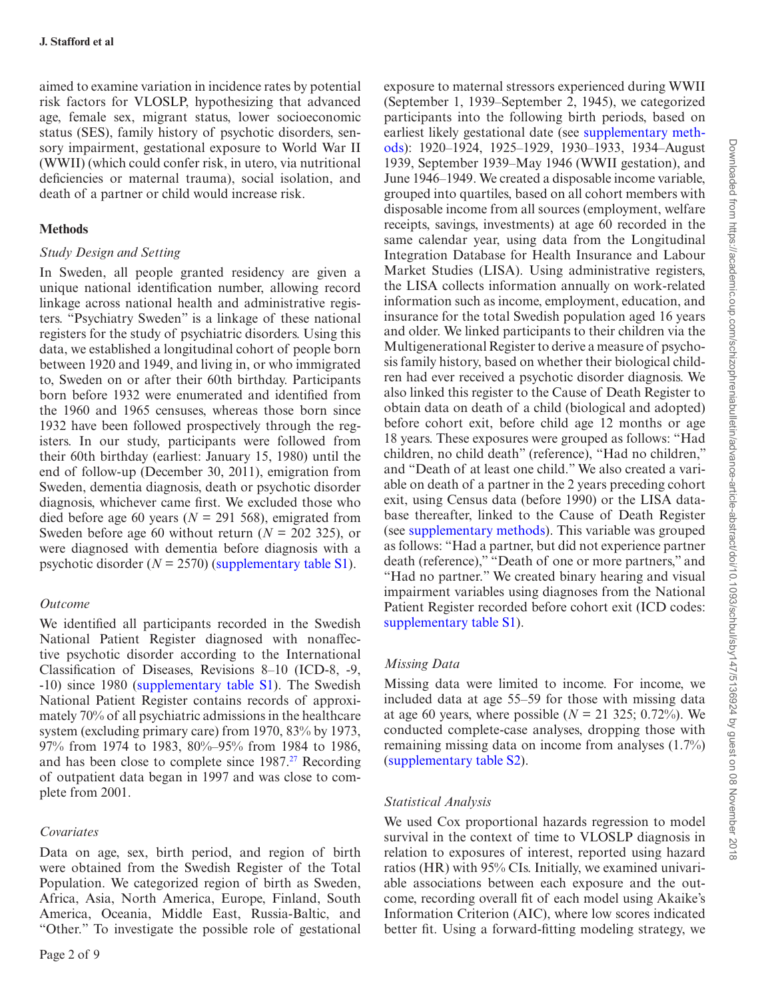aimed to examine variation in incidence rates by potential risk factors for VLOSLP, hypothesizing that advanced age, female sex, migrant status, lower socioeconomic status (SES), family history of psychotic disorders, sensory impairment, gestational exposure to World War II (WWII) (which could confer risk, in utero, via nutritional deficiencies or maternal trauma), social isolation, and death of a partner or child would increase risk.

# **Methods**

## *Study Design and Setting*

In Sweden, all people granted residency are given a unique national identification number, allowing record linkage across national health and administrative registers. "Psychiatry Sweden" is a linkage of these national registers for the study of psychiatric disorders. Using this data, we established a longitudinal cohort of people born between 1920 and 1949, and living in, or who immigrated to, Sweden on or after their 60th birthday. Participants born before 1932 were enumerated and identified from the 1960 and 1965 censuses, whereas those born since 1932 have been followed prospectively through the registers. In our study, participants were followed from their 60th birthday (earliest: January 15, 1980) until the end of follow-up (December 30, 2011), emigration from Sweden, dementia diagnosis, death or psychotic disorder diagnosis, whichever came first. We excluded those who died before age 60 years ( $N = 291$  568), emigrated from Sweden before age 60 without return (*N* = 202 325), or were diagnosed with dementia before diagnosis with a psychotic disorder (*N* = 2570) [\(supplementary table S1](http://academic.oup.com/schizophreniabulletin/article-lookup/doi/10.1093/schbul/sby147#supplementary-data)).

## *Outcome*

We identified all participants recorded in the Swedish National Patient Register diagnosed with nonaffective psychotic disorder according to the International Classification of Diseases, Revisions 8–10 (ICD-8, -9, -10) since 1980 [\(supplementary table S1](http://academic.oup.com/schizophreniabulletin/article-lookup/doi/10.1093/schbul/sby147#supplementary-data)). The Swedish National Patient Register contains records of approximately 70% of all psychiatric admissions in the healthcare system (excluding primary care) from 1970, 83% by 1973, 97% from 1974 to 1983, 80%–95% from 1984 to 1986, and has been close to complete since  $1987<sup>27</sup>$  $1987<sup>27</sup>$  $1987<sup>27</sup>$  Recording of outpatient data began in 1997 and was close to complete from 2001.

# *Covariates*

Data on age, sex, birth period, and region of birth were obtained from the Swedish Register of the Total Population. We categorized region of birth as Sweden, Africa, Asia, North America, Europe, Finland, South America, Oceania, Middle East, Russia-Baltic, and "Other." To investigate the possible role of gestational

exposure to maternal stressors experienced during WWII (September 1, 1939–September 2, 1945), we categorized participants into the following birth periods, based on earliest likely gestational date (see [supplementary meth](http://academic.oup.com/schizophreniabulletin/article-lookup/doi/10.1093/schbul/sby147#supplementary-data)[ods](http://academic.oup.com/schizophreniabulletin/article-lookup/doi/10.1093/schbul/sby147#supplementary-data)): 1920–1924, 1925–1929, 1930–1933, 1934–August 1939, September 1939–May 1946 (WWII gestation), and June 1946–1949. We created a disposable income variable, grouped into quartiles, based on all cohort members with disposable income from all sources (employment, welfare receipts, savings, investments) at age 60 recorded in the same calendar year, using data from the Longitudinal Integration Database for Health Insurance and Labour Market Studies (LISA). Using administrative registers, the LISA collects information annually on work-related information such as income, employment, education, and insurance for the total Swedish population aged 16 years and older. We linked participants to their children via the Multigenerational Register to derive a measure of psychosis family history, based on whether their biological children had ever received a psychotic disorder diagnosis. We also linked this register to the Cause of Death Register to obtain data on death of a child (biological and adopted) before cohort exit, before child age 12 months or age 18 years. These exposures were grouped as follows: "Had children, no child death" (reference), "Had no children," and "Death of at least one child." We also created a variable on death of a partner in the 2 years preceding cohort exit, using Census data (before 1990) or the LISA database thereafter, linked to the Cause of Death Register (see [supplementary methods](http://academic.oup.com/schizophreniabulletin/article-lookup/doi/10.1093/schbul/sby147#supplementary-data)). This variable was grouped as follows: "Had a partner, but did not experience partner death (reference)," "Death of one or more partners," and "Had no partner." We created binary hearing and visual impairment variables using diagnoses from the National Patient Register recorded before cohort exit (ICD codes: [supplementary table S1](http://academic.oup.com/schizophreniabulletin/article-lookup/doi/10.1093/schbul/sby147#supplementary-data)).

# *Missing Data*

Missing data were limited to income. For income, we included data at age 55–59 for those with missing data at age 60 years, where possible ( $N = 21$  325; 0.72%). We conducted complete-case analyses, dropping those with remaining missing data on income from analyses (1.7%) [\(supplementary table S2\)](http://academic.oup.com/schizophreniabulletin/article-lookup/doi/10.1093/schbul/sby147#supplementary-data).

# *Statistical Analysis*

We used Cox proportional hazards regression to model survival in the context of time to VLOSLP diagnosis in relation to exposures of interest, reported using hazard ratios (HR) with 95% CIs. Initially, we examined univariable associations between each exposure and the outcome, recording overall fit of each model using Akaike's Information Criterion (AIC), where low scores indicated better fit. Using a forward-fitting modeling strategy, we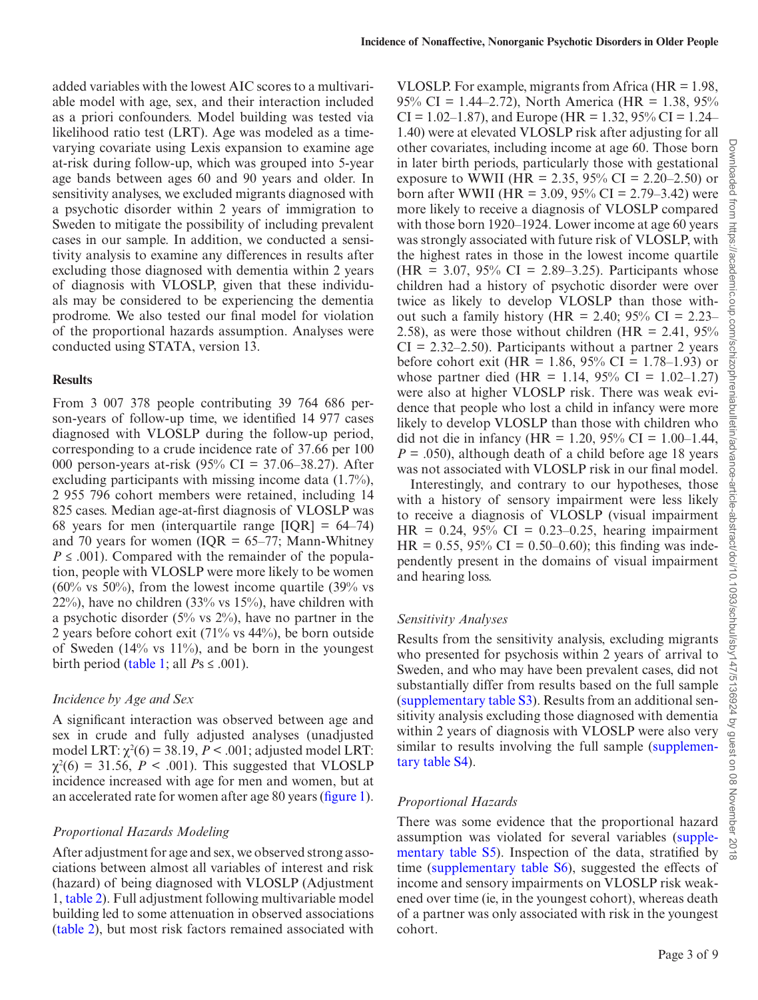added variables with the lowest AIC scores to a multivariable model with age, sex, and their interaction included as a priori confounders. Model building was tested via likelihood ratio test (LRT). Age was modeled as a timevarying covariate using Lexis expansion to examine age at-risk during follow-up, which was grouped into 5-year age bands between ages 60 and 90 years and older. In sensitivity analyses, we excluded migrants diagnosed with a psychotic disorder within 2 years of immigration to Sweden to mitigate the possibility of including prevalent cases in our sample. In addition, we conducted a sensitivity analysis to examine any differences in results after excluding those diagnosed with dementia within 2 years of diagnosis with VLOSLP, given that these individuals may be considered to be experiencing the dementia prodrome. We also tested our final model for violation of the proportional hazards assumption. Analyses were conducted using STATA, version 13.

## **Results**

From 3 007 378 people contributing 39 764 686 person-years of follow-up time, we identified 14 977 cases diagnosed with VLOSLP during the follow-up period, corresponding to a crude incidence rate of 37.66 per 100 000 person-years at-risk (95% CI = 37.06–38.27). After excluding participants with missing income data (1.7%), 2 955 796 cohort members were retained, including 14 825 cases. Median age-at-first diagnosis of VLOSLP was 68 years for men (interquartile range  $[IQR] = 64-74$ ) and 70 years for women (IQR =  $65-77$ ; Mann-Whitney  $P \leq 0.001$ . Compared with the remainder of the population, people with VLOSLP were more likely to be women  $(60\% \text{ vs } 50\%)$ , from the lowest income quartile  $(39\% \text{ vs } 50\%)$ 22%), have no children (33% vs 15%), have children with a psychotic disorder (5% vs 2%), have no partner in the 2 years before cohort exit  $(71\% \text{ vs } 44\%)$ , be born outside of Sweden  $(14\% \text{ vs } 11\%)$ , and be born in the youngest birth period ([table 1;](#page-3-0) all  $Ps \leq .001$ ).

## *Incidence by Age and Sex*

A significant interaction was observed between age and sex in crude and fully adjusted analyses (unadjusted model LRT:  $\chi^2(6) = 38.19$ ,  $P < .001$ ; adjusted model LRT:  $\chi^2(6) = 31.56$ ,  $P < .001$ ). This suggested that VLOSLP incidence increased with age for men and women, but at an accelerated rate for women after age 80 years [\(figure 1\)](#page-4-0).

## *Proportional Hazards Modeling*

After adjustment for age and sex, we observed strong associations between almost all variables of interest and risk (hazard) of being diagnosed with VLOSLP (Adjustment 1, [table 2](#page-4-1)). Full adjustment following multivariable model building led to some attenuation in observed associations [\(table 2](#page-4-1)), but most risk factors remained associated with

VLOSLP. For example, migrants from Africa (HR = 1.98, 95% CI = 1.44–2.72), North America (HR = 1.38, 95%  $CI = 1.02 - 1.87$ , and Europe (HR = 1.32, 95% CI = 1.24– 1.40) were at elevated VLOSLP risk after adjusting for all other covariates, including income at age 60. Those born in later birth periods, particularly those with gestational exposure to WWII (HR = 2.35, 95% CI = 2.20–2.50) or born after WWII (HR = 3.09, 95% CI = 2.79–3.42) were more likely to receive a diagnosis of VLOSLP compared with those born 1920–1924. Lower income at age 60 years was strongly associated with future risk of VLOSLP, with the highest rates in those in the lowest income quartile  $(HR = 3.07, 95\% \text{ CI} = 2.89 - 3.25)$ . Participants whose children had a history of psychotic disorder were over twice as likely to develop VLOSLP than those without such a family history (HR = 2.40;  $95\%$  CI = 2.23– 2.58), as were those without children (HR =  $2.41, 95\%$ )  $CI = 2.32 - 2.50$ . Participants without a partner 2 years before cohort exit (HR = 1.86, 95% CI = 1.78–1.93) or whose partner died (HR =  $1.14$ , 95% CI =  $1.02-1.27$ ) were also at higher VLOSLP risk. There was weak evidence that people who lost a child in infancy were more likely to develop VLOSLP than those with children who did not die in infancy (HR = 1.20, 95% CI = 1.00–1.44,  $P = .050$ , although death of a child before age 18 years was not associated with VLOSLP risk in our final model.

Interestingly, and contrary to our hypotheses, those with a history of sensory impairment were less likely to receive a diagnosis of VLOSLP (visual impairment  $HR = 0.24, 95\% \text{ CI} = 0.23 - 0.25, \text{ hearing impairment}$  $HR = 0.55, 95\% \text{ CI} = 0.50-0.60$ ; this finding was independently present in the domains of visual impairment and hearing loss.

## *Sensitivity Analyses*

Results from the sensitivity analysis, excluding migrants who presented for psychosis within 2 years of arrival to Sweden, and who may have been prevalent cases, did not substantially differ from results based on the full sample [\(supplementary table S3](http://academic.oup.com/schizophreniabulletin/article-lookup/doi/10.1093/schbul/sby147#supplementary-data)). Results from an additional sensitivity analysis excluding those diagnosed with dementia within 2 years of diagnosis with VLOSLP were also very similar to results involving the full sample ([supplemen](http://academic.oup.com/schizophreniabulletin/article-lookup/doi/10.1093/schbul/sby147#supplementary-data)[tary table S4\)](http://academic.oup.com/schizophreniabulletin/article-lookup/doi/10.1093/schbul/sby147#supplementary-data).

## *Proportional Hazards*

There was some evidence that the proportional hazard assumption was violated for several variables ([supple](http://academic.oup.com/schizophreniabulletin/article-lookup/doi/10.1093/schbul/sby147#supplementary-data)mentary table S5). Inspection of the data, stratified by time (supplementary table S6), suggested the effects of income and sensory impairments on VLOSLP risk weakened over time (ie, in the youngest cohort), whereas death of a partner was only associated with risk in the youngest cohort.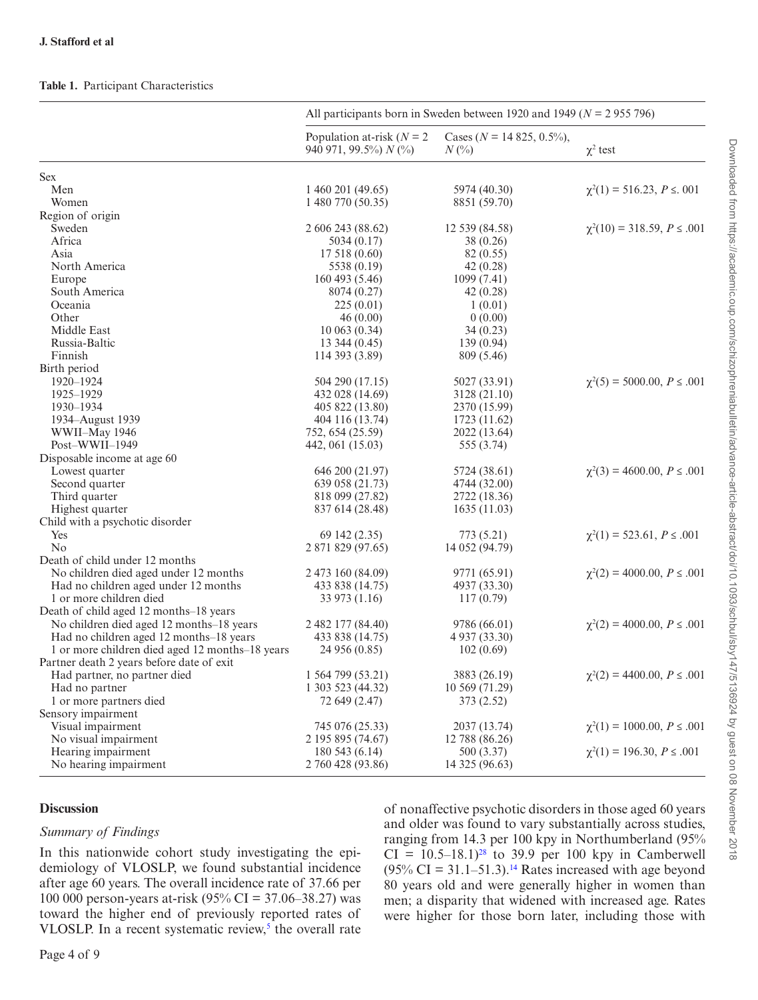## <span id="page-3-0"></span>**Table 1.** Participant Characteristics

|                                                 | All participants born in Sweden between 1920 and 1949 ( $N = 2955796$ ) |                                          |                                     |  |
|-------------------------------------------------|-------------------------------------------------------------------------|------------------------------------------|-------------------------------------|--|
|                                                 | Population at-risk ( $N = 2$<br>940 971, 99.5%) $N$ (%)                 | Cases ( $N = 14825, 0.5\%$ ),<br>$N(\%)$ | $\chi^2$ test                       |  |
| <b>Sex</b>                                      |                                                                         |                                          |                                     |  |
| Men                                             | 1 460 201 (49.65)                                                       | 5974 (40.30)                             | $\chi^2(1) = 516.23, P \le 0.001$   |  |
| Women                                           | 1 480 770 (50.35)                                                       | 8851 (59.70)                             |                                     |  |
| Region of origin                                |                                                                         |                                          |                                     |  |
| Sweden                                          | 2 606 243 (88.62)                                                       | 12 539 (84.58)                           | $\chi^2(10) = 318.59, P \le .001$   |  |
| Africa                                          | 5034 (0.17)                                                             | 38 (0.26)                                |                                     |  |
| Asia                                            | 17 518 (0.60)                                                           | 82 (0.55)                                |                                     |  |
| North America                                   | 5538 (0.19)                                                             | 42(0.28)                                 |                                     |  |
| Europe                                          | 160 493 (5.46)                                                          | 1099(7.41)                               |                                     |  |
| South America                                   | 8074 (0.27)                                                             | 42 (0.28)                                |                                     |  |
| Oceania                                         | 225(0.01)                                                               | 1(0.01)                                  |                                     |  |
| Other                                           | 46(0.00)                                                                | 0(0.00)                                  |                                     |  |
| Middle East                                     | 10063(0.34)                                                             | 34(0.23)                                 |                                     |  |
| Russia-Baltic                                   | $13\,344\,(0.45)$                                                       | 139(0.94)                                |                                     |  |
| Finnish                                         | 114 393 (3.89)                                                          | 809 (5.46)                               |                                     |  |
| Birth period                                    |                                                                         |                                          |                                     |  |
| 1920-1924                                       | 504 290 (17.15)                                                         | 5027 (33.91)                             | $\chi^2(5) = 5000.00, P \leq .001$  |  |
| 1925–1929                                       | 432 028 (14.69)                                                         | 3128 (21.10)                             |                                     |  |
| 1930-1934                                       | 405 822 (13.80)                                                         | 2370 (15.99)                             |                                     |  |
| 1934–August 1939                                | 404 116 (13.74)                                                         | 1723 (11.62)                             |                                     |  |
| WWII–May 1946                                   | 752, 654 (25.59)                                                        | 2022 (13.64)                             |                                     |  |
| Post-WWII-1949                                  | 442, 061 (15.03)                                                        | 555 (3.74)                               |                                     |  |
| Disposable income at age 60                     |                                                                         |                                          |                                     |  |
| Lowest quarter                                  | 646 200 (21.97)                                                         | 5724 (38.61)                             | $\chi^2(3) = 4600.00, P \leq .001$  |  |
| Second quarter                                  | 639 058 (21.73)                                                         | 4744 (32.00)                             |                                     |  |
| Third quarter                                   | 818 099 (27.82)                                                         | 2722 (18.36)                             |                                     |  |
| Highest quarter                                 | 837 614 (28.48)                                                         | 1635(11.03)                              |                                     |  |
| Child with a psychotic disorder                 |                                                                         |                                          |                                     |  |
| Yes                                             | 69 142 (2.35)                                                           | 773 (5.21)                               | $\gamma^2(1) = 523.61, P \leq .001$ |  |
| No                                              | 2 871 829 (97.65)                                                       | 14 052 (94.79)                           |                                     |  |
| Death of child under 12 months                  |                                                                         |                                          |                                     |  |
| No children died aged under 12 months           | 2 473 160 (84.09)                                                       | 9771 (65.91)                             | $\chi^2(2) = 4000.00, P \leq .001$  |  |
| Had no children aged under 12 months            | 433 838 (14.75)                                                         | 4937 (33.30)                             |                                     |  |
| 1 or more children died                         | 33 973 (1.16)                                                           | 117(0.79)                                |                                     |  |
| Death of child aged 12 months-18 years          |                                                                         |                                          |                                     |  |
| No children died aged 12 months-18 years        | 2 482 177 (84.40)                                                       | 9786 (66.01)                             | $\chi^2(2) = 4000.00, P \leq .001$  |  |
| Had no children aged 12 months-18 years         | 433 838 (14.75)                                                         | 4 9 37 (33.30)                           |                                     |  |
| 1 or more children died aged 12 months–18 years | 24 956 (0.85)                                                           |                                          |                                     |  |
| Partner death 2 years before date of exit       |                                                                         | 102(0.69)                                |                                     |  |
| Had partner, no partner died                    |                                                                         |                                          | $\chi^2(2) = 4400.00, P \leq .001$  |  |
|                                                 | 1 564 799 (53.21)                                                       | 3883 (26.19)                             |                                     |  |
| Had no partner<br>1 or more partners died       | 1 303 523 (44.32)                                                       | 10 569 (71.29)                           |                                     |  |
|                                                 | 72 649 (2.47)                                                           | 373 (2.52)                               |                                     |  |
| Sensory impairment                              |                                                                         |                                          |                                     |  |
| Visual impairment                               | 745 076 (25.33)                                                         | 2037 (13.74)                             | $\chi^2(1) = 1000.00, P \leq .001$  |  |
| No visual impairment                            | 2 195 895 (74.67)                                                       | 12 788 (86.26)                           |                                     |  |
| Hearing impairment                              | 180 543 (6.14)                                                          | 500 (3.37)                               | $\gamma^2(1) = 196.30, P \le .001$  |  |
| No hearing impairment                           | 2 760 428 (93.86)                                                       | 14 325 (96.63)                           |                                     |  |

## *Summary of Findings*

In this nationwide cohort study investigating the epidemiology of VLOSLP, we found substantial incidence after age 60 years. The overall incidence rate of 37.66 per 100 000 person-years at-risk (95% CI = 37.06–38.27) was toward the higher end of previously reported rates of VLOSLP. In a recent systematic review, $<sup>5</sup>$  $<sup>5</sup>$  $<sup>5</sup>$  the overall rate</sup> of nonaffective psychotic disorders in those aged 60 years and older was found to vary substantially across studies, ranging from 14.3 per 100 kpy in Northumberland (95%  $CI = 10.5-18.1$ <sup>28</sup> to 39.9 per 100 kpy in Camberwell  $(95\% \text{ CI} = 31.1-51.3).$ <sup>14</sup> Rates increased with age beyond 80 years old and were generally higher in women than men; a disparity that widened with increased age. Rates were higher for those born later, including those with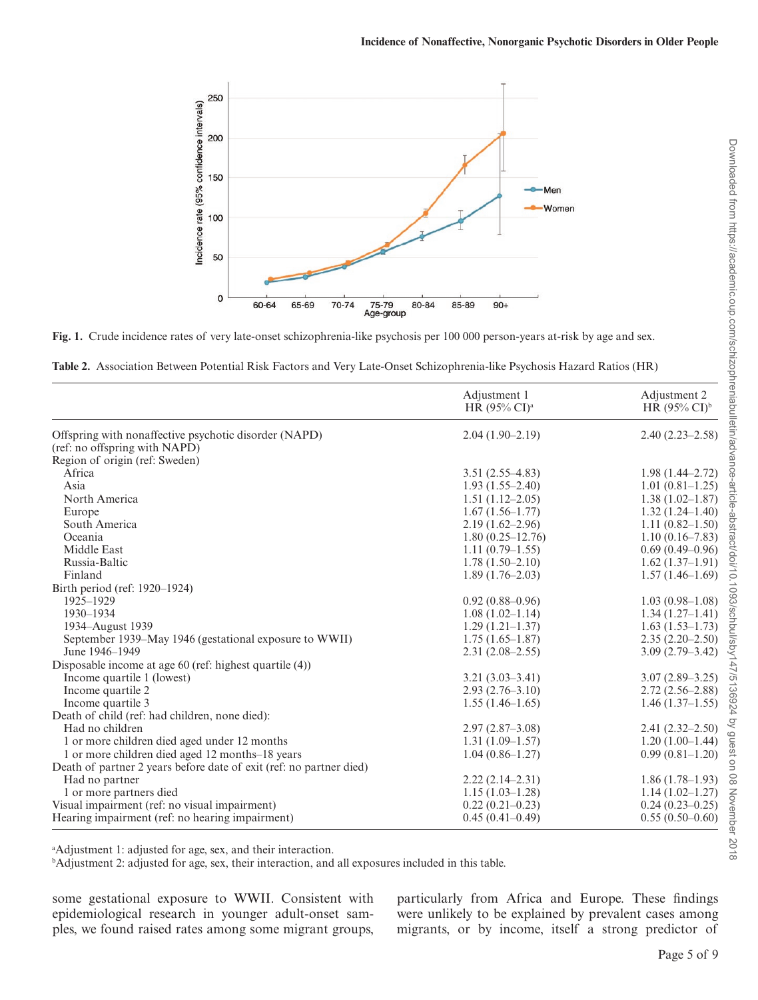<span id="page-4-0"></span>

**Fig. 1.** Crude incidence rates of very late-onset schizophrenia-like psychosis per 100 000 person-years at-risk by age and sex.

<span id="page-4-1"></span>

| Table 2. Association Between Potential Risk Factors and Very Late-Onset Schizophrenia-like Psychosis Hazard Ratios (HR) |  |  |
|-------------------------------------------------------------------------------------------------------------------------|--|--|
|-------------------------------------------------------------------------------------------------------------------------|--|--|

|                                                                     | Adjustment 1<br>HR $(95\% \text{ CI})^{\text{a}}$ | Adjustment 2<br>HR $(95\% \text{ CI})^b$ |
|---------------------------------------------------------------------|---------------------------------------------------|------------------------------------------|
| Offspring with nonaffective psychotic disorder (NAPD)               | $2.04(1.90-2.19)$                                 | $2.40(2.23 - 2.58)$                      |
| (ref: no offspring with NAPD)                                       |                                                   |                                          |
| Region of origin (ref: Sweden)                                      |                                                   |                                          |
| Africa                                                              | $3.51(2.55-4.83)$                                 | $1.98(1.44 - 2.72)$                      |
| Asia                                                                | $1.93(1.55 - 2.40)$                               | $1.01(0.81 - 1.25)$                      |
| North America                                                       | $1.51(1.12 - 2.05)$                               | $1.38(1.02 - 1.87)$                      |
| Europe                                                              | $1.67(1.56-1.77)$                                 | $1.32(1.24 - 1.40)$                      |
| South America                                                       | $2.19(1.62 - 2.96)$                               | $1.11(0.82 - 1.50)$                      |
| Oceania                                                             | $1.80(0.25 - 12.76)$                              | $1.10(0.16 - 7.83)$                      |
| Middle East                                                         | $1.11(0.79-1.55)$                                 | $0.69(0.49-0.96)$                        |
| Russia-Baltic                                                       | $1.78(1.50-2.10)$                                 | $1.62(1.37-1.91)$                        |
| Finland                                                             | $1.89(1.76-2.03)$                                 | $1.57(1.46-1.69)$                        |
| Birth period (ref: 1920–1924)                                       |                                                   |                                          |
| 1925-1929                                                           | $0.92(0.88 - 0.96)$                               | $1.03(0.98-1.08)$                        |
| 1930-1934                                                           | $1.08(1.02 - 1.14)$                               | $1.34(1.27-1.41)$                        |
| 1934–August 1939                                                    | $1.29(1.21-1.37)$                                 | $1.63(1.53-1.73)$                        |
| September 1939–May 1946 (gestational exposure to WWII)              | $1.75(1.65-1.87)$                                 | $2.35(2.20-2.50)$                        |
| June 1946-1949                                                      | $2.31(2.08-2.55)$                                 | $3.09(2.79 - 3.42)$                      |
| Disposable income at age 60 (ref: highest quartile $(4)$ )          |                                                   |                                          |
| Income quartile 1 (lowest)                                          | $3.21(3.03 - 3.41)$                               | $3.07(2.89 - 3.25)$                      |
| Income quartile 2                                                   | $2.93(2.76-3.10)$                                 | $2.72(2.56-2.88)$                        |
| Income quartile 3                                                   | $1.55(1.46-1.65)$                                 | $1.46(1.37-1.55)$                        |
| Death of child (ref: had children, none died):                      |                                                   |                                          |
| Had no children                                                     | $2.97(2.87-3.08)$                                 | $2.41(2.32 - 2.50)$                      |
| 1 or more children died aged under 12 months                        | $1.31(1.09-1.57)$                                 | $1.20(1.00-1.44)$                        |
| 1 or more children died aged 12 months-18 years                     | $1.04(0.86 - 1.27)$                               | $0.99(0.81-1.20)$                        |
| Death of partner 2 years before date of exit (ref: no partner died) |                                                   |                                          |
| Had no partner                                                      | $2.22(2.14 - 2.31)$                               | $1.86(1.78-1.93)$                        |
| 1 or more partners died                                             | $1.15(1.03-1.28)$                                 | $1.14(1.02 - 1.27)$                      |
| Visual impairment (ref: no visual impairment)                       | $0.22(0.21-0.23)$                                 | $0.24(0.23 - 0.25)$                      |
| Hearing impairment (ref: no hearing impairment)                     | $0.45(0.41-0.49)$                                 | $0.55(0.50-0.60)$                        |

a Adjustment 1: adjusted for age, sex, and their interaction.

b Adjustment 2: adjusted for age, sex, their interaction, and all exposures included in this table.

some gestational exposure to WWII. Consistent with epidemiological research in younger adult-onset samples, we found raised rates among some migrant groups, particularly from Africa and Europe. These findings were unlikely to be explained by prevalent cases among migrants, or by income, itself a strong predictor of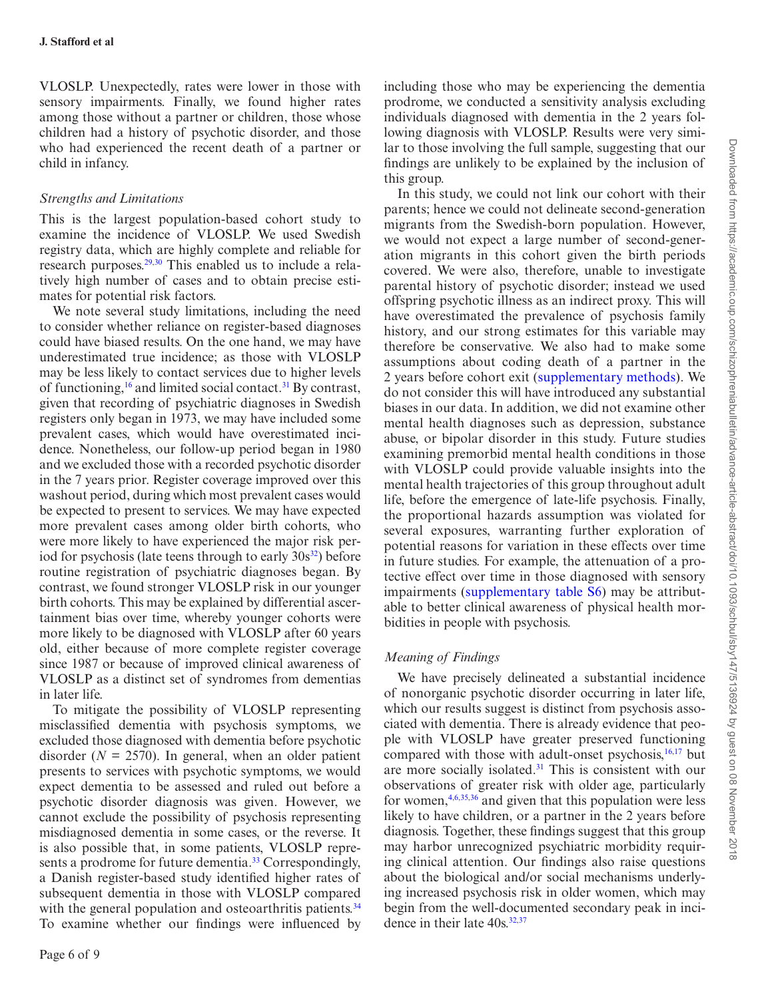VLOSLP. Unexpectedly, rates were lower in those with sensory impairments. Finally, we found higher rates among those without a partner or children, those whose children had a history of psychotic disorder, and those who had experienced the recent death of a partner or child in infancy.

#### *Strengths and Limitations*

This is the largest population-based cohort study to examine the incidence of VLOSLP. We used Swedish registry data, which are highly complete and reliable for research purposes[.29](#page-7-15)[,30](#page-7-16) This enabled us to include a relatively high number of cases and to obtain precise estimates for potential risk factors.

We note several study limitations, including the need to consider whether reliance on register-based diagnoses could have biased results. On the one hand, we may have underestimated true incidence; as those with VLOSLP may be less likely to contact services due to higher levels of functioning,  $^{16}$  and limited social contact.<sup>31</sup> By contrast, given that recording of psychiatric diagnoses in Swedish registers only began in 1973, we may have included some prevalent cases, which would have overestimated incidence. Nonetheless, our follow-up period began in 1980 and we excluded those with a recorded psychotic disorder in the 7 years prior. Register coverage improved over this washout period, during which most prevalent cases would be expected to present to services. We may have expected more prevalent cases among older birth cohorts, who were more likely to have experienced the major risk period for psychosis (late teens through to early  $30s^{32}$  $30s^{32}$  $30s^{32}$ ) before routine registration of psychiatric diagnoses began. By contrast, we found stronger VLOSLP risk in our younger birth cohorts. This may be explained by differential ascertainment bias over time, whereby younger cohorts were more likely to be diagnosed with VLOSLP after 60 years old, either because of more complete register coverage since 1987 or because of improved clinical awareness of VLOSLP as a distinct set of syndromes from dementias in later life.

To mitigate the possibility of VLOSLP representing misclassified dementia with psychosis symptoms, we excluded those diagnosed with dementia before psychotic disorder  $(N = 2570)$ . In general, when an older patient presents to services with psychotic symptoms, we would expect dementia to be assessed and ruled out before a psychotic disorder diagnosis was given. However, we cannot exclude the possibility of psychosis representing misdiagnosed dementia in some cases, or the reverse. It is also possible that, in some patients, VLOSLP represents a prodrome for future dementia.<sup>33</sup> Correspondingly, a Danish register-based study identified higher rates of subsequent dementia in those with VLOSLP compared with the general population and osteoarthritis patients.<sup>[34](#page-7-20)</sup> To examine whether our findings were influenced by

including those who may be experiencing the dementia prodrome, we conducted a sensitivity analysis excluding individuals diagnosed with dementia in the 2 years following diagnosis with VLOSLP. Results were very similar to those involving the full sample, suggesting that our findings are unlikely to be explained by the inclusion of this group.

In this study, we could not link our cohort with their parents; hence we could not delineate second-generation migrants from the Swedish-born population. However, we would not expect a large number of second-generation migrants in this cohort given the birth periods covered. We were also, therefore, unable to investigate parental history of psychotic disorder; instead we used offspring psychotic illness as an indirect proxy. This will have overestimated the prevalence of psychosis family history, and our strong estimates for this variable may therefore be conservative. We also had to make some assumptions about coding death of a partner in the 2 years before cohort exit ([supplementary methods\)](http://academic.oup.com/schizophreniabulletin/article-lookup/doi/10.1093/schbul/sby147#supplementary-data). We do not consider this will have introduced any substantial biases in our data. In addition, we did not examine other mental health diagnoses such as depression, substance abuse, or bipolar disorder in this study. Future studies examining premorbid mental health conditions in those with VLOSLP could provide valuable insights into the mental health trajectories of this group throughout adult life, before the emergence of late-life psychosis. Finally, the proportional hazards assumption was violated for several exposures, warranting further exploration of potential reasons for variation in these effects over time in future studies. For example, the attenuation of a protective effect over time in those diagnosed with sensory impairments ([supplementary table S6](http://academic.oup.com/schizophreniabulletin/article-lookup/doi/10.1093/schbul/sby147#supplementary-data)) may be attributable to better clinical awareness of physical health morbidities in people with psychosis.

## *Meaning of Findings*

We have precisely delineated a substantial incidence of nonorganic psychotic disorder occurring in later life, which our results suggest is distinct from psychosis associated with dementia. There is already evidence that people with VLOSLP have greater preserved functioning compared with those with adult-onset psychosis, $16,17$  $16,17$  but are more socially isolated.<sup>31</sup> This is consistent with our observations of greater risk with older age, particularly for women,<sup>4[,6](#page-6-5),[35,](#page-7-21)36</sup> and given that this population were less likely to have children, or a partner in the 2 years before diagnosis. Together, these findings suggest that this group may harbor unrecognized psychiatric morbidity requiring clinical attention. Our findings also raise questions about the biological and/or social mechanisms underlying increased psychosis risk in older women, which may begin from the well-documented secondary peak in inci-dence in their late 40s.<sup>[32,](#page-7-18)[37](#page-7-23)</sup>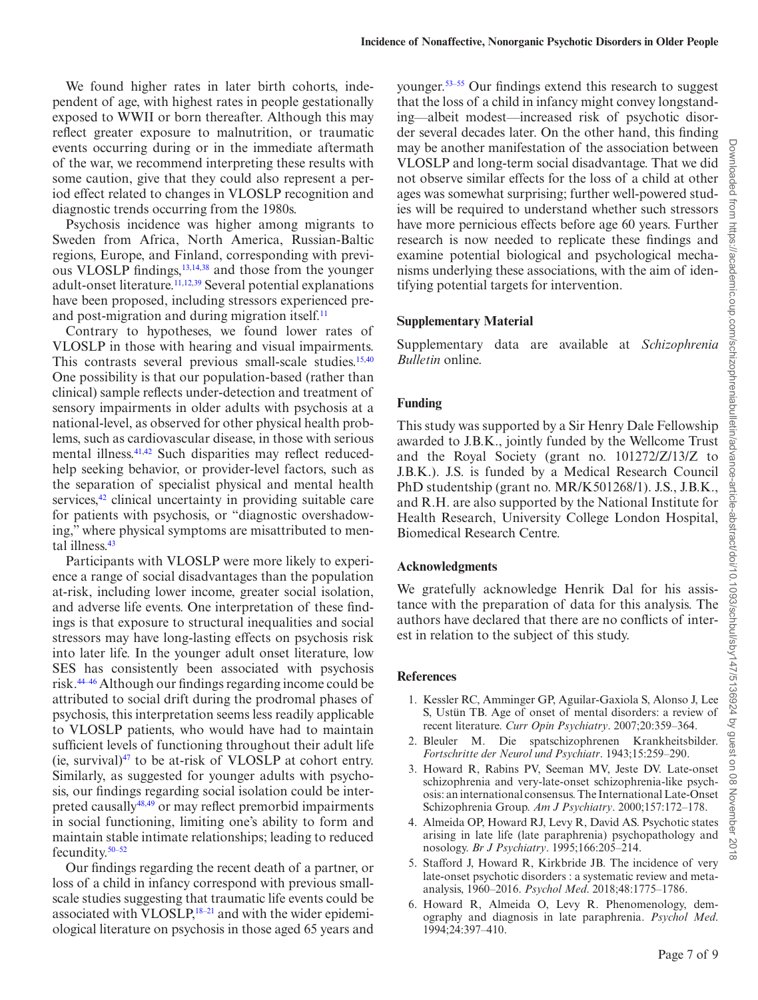We found higher rates in later birth cohorts, independent of age, with highest rates in people gestationally exposed to WWII or born thereafter. Although this may reflect greater exposure to malnutrition, or traumatic events occurring during or in the immediate aftermath of the war, we recommend interpreting these results with some caution, give that they could also represent a period effect related to changes in VLOSLP recognition and diagnostic trends occurring from the 1980s.

Psychosis incidence was higher among migrants to Sweden from Africa, North America, Russian-Baltic regions, Europe, and Finland, corresponding with previ-ous VLOSLP findings,<sup>13,[14](#page-7-5)[,38](#page-7-24)</sup> and those from the younger adult-onset literature[.11,](#page-7-2)[12](#page-7-3),[39](#page-7-25) Several potential explanations have been proposed, including stressors experienced pre-and post-migration and during migration itself.<sup>[11](#page-7-2)</sup>

Contrary to hypotheses, we found lower rates of VLOSLP in those with hearing and visual impairments. This contrasts several previous small-scale studies.<sup>15,[40](#page-7-26)</sup> One possibility is that our population-based (rather than clinical) sample reflects under-detection and treatment of sensory impairments in older adults with psychosis at a national-level, as observed for other physical health problems, such as cardiovascular disease, in those with serious mental illness.<sup>41,[42](#page-7-28)</sup> Such disparities may reflect reducedhelp seeking behavior, or provider-level factors, such as the separation of specialist physical and mental health services, $42$  clinical uncertainty in providing suitable care for patients with psychosis, or "diagnostic overshadowing," where physical symptoms are misattributed to mental illness.<sup>43</sup>

Participants with VLOSLP were more likely to experience a range of social disadvantages than the population at-risk, including lower income, greater social isolation, and adverse life events. One interpretation of these findings is that exposure to structural inequalities and social stressors may have long-lasting effects on psychosis risk into later life. In the younger adult onset literature, low SES has consistently been associated with psychosis risk.[44–46](#page-7-30) Although our findings regarding income could be attributed to social drift during the prodromal phases of psychosis, this interpretation seems less readily applicable to VLOSLP patients, who would have had to maintain sufficient levels of functioning throughout their adult life (ie, survival) $47$  to be at-risk of VLOSLP at cohort entry. Similarly, as suggested for younger adults with psychosis, our findings regarding social isolation could be inter-preted causally<sup>48,[49](#page-8-2)</sup> or may reflect premorbid impairments in social functioning, limiting one's ability to form and maintain stable intimate relationships; leading to reduced fecundity[.50–52](#page-8-3)

Our findings regarding the recent death of a partner, or loss of a child in infancy correspond with previous smallscale studies suggesting that traumatic life events could be associated with VLOSLP, $18-21$  and with the wider epidemiological literature on psychosis in those aged 65 years and younger.[53–55](#page-8-4) Our findings extend this research to suggest that the loss of a child in infancy might convey longstanding—albeit modest—increased risk of psychotic disorder several decades later. On the other hand, this finding may be another manifestation of the association between VLOSLP and long-term social disadvantage. That we did not observe similar effects for the loss of a child at other ages was somewhat surprising; further well-powered studies will be required to understand whether such stressors have more pernicious effects before age 60 years. Further research is now needed to replicate these findings and examine potential biological and psychological mechanisms underlying these associations, with the aim of identifying potential targets for intervention.

## **Supplementary Material**

Supplementary data are available at *Schizophrenia Bulletin* online.

## **Funding**

This study was supported by a Sir Henry Dale Fellowship awarded to J.B.K., jointly funded by the Wellcome Trust and the Royal Society (grant no. 101272/Z/13/Z to J.B.K.). J.S. is funded by a Medical Research Council PhD studentship (grant no. MR/K501268/1). J.S., J.B.K., and R.H. are also supported by the National Institute for Health Research, University College London Hospital, Biomedical Research Centre.

## **Acknowledgments**

We gratefully acknowledge Henrik Dal for his assistance with the preparation of data for this analysis. The authors have declared that there are no conflicts of interest in relation to the subject of this study.

## **References**

- <span id="page-6-0"></span>1. Kessler RC, Amminger GP, Aguilar-Gaxiola S, Alonso J, Lee S, Ustün TB. Age of onset of mental disorders: a review of recent literature. *Curr Opin Psychiatry*. 2007;20:359–364.
- <span id="page-6-1"></span>2. Bleuler M. Die spatschizophrenen Krankheitsbilder. *Fortschritte der Neurol und Psychiatr*. 1943;15:259–290.
- <span id="page-6-2"></span>3. Howard R, Rabins PV, Seeman MV, Jeste DV. Late-onset schizophrenia and very-late-onset schizophrenia-like psychosis: an international consensus. The International Late-Onset Schizophrenia Group. *Am J Psychiatry*. 2000;157:172–178.
- <span id="page-6-3"></span>4. Almeida OP, Howard RJ, Levy R, David AS. Psychotic states arising in late life (late paraphrenia) psychopathology and nosology. *Br J Psychiatry*. 1995;166:205–214.
- <span id="page-6-4"></span>5. Stafford J, Howard R, Kirkbride JB. The incidence of very late-onset psychotic disorders : a systematic review and metaanalysis, 1960–2016. *Psychol Med*. 2018;48:1775–1786.
- <span id="page-6-5"></span>6. Howard R, Almeida O, Levy R. Phenomenology, demography and diagnosis in late paraphrenia. *Psychol Med*. 1994;24:397–410.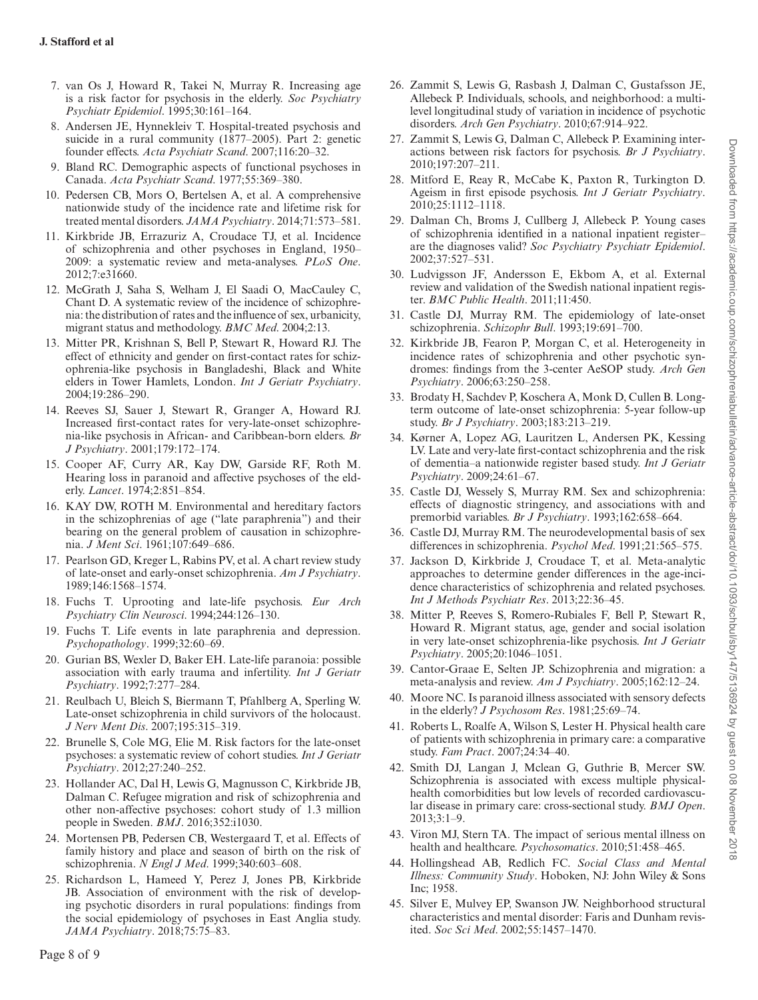- <span id="page-7-0"></span>7. van Os J, Howard R, Takei N, Murray R. Increasing age is a risk factor for psychosis in the elderly. *Soc Psychiatry Psychiatr Epidemiol*. 1995;30:161–164.
- <span id="page-7-1"></span>8. Andersen JE, Hynnekleiv T. Hospital-treated psychosis and suicide in a rural community (1877–2005). Part 2: genetic founder effects. *Acta Psychiatr Scand*. 2007;116:20–32.
- 9. Bland RC. Demographic aspects of functional psychoses in Canada. *Acta Psychiatr Scand*. 1977;55:369–380.
- <span id="page-7-11"></span>10. Pedersen CB, Mors O, Bertelsen A, et al. A comprehensive nationwide study of the incidence rate and lifetime risk for treated mental disorders. *JAMA Psychiatry*. 2014;71:573–581.
- <span id="page-7-2"></span>11. Kirkbride JB, Errazuriz A, Croudace TJ, et al. Incidence of schizophrenia and other psychoses in England, 1950– 2009: a systematic review and meta-analyses. *PLoS One*. 2012;7:e31660.
- <span id="page-7-3"></span>12. McGrath J, Saha S, Welham J, El Saadi O, MacCauley C, Chant D. A systematic review of the incidence of schizophrenia: the distribution of rates and the influence of sex, urbanicity, migrant status and methodology. *BMC Med*. 2004;2:13.
- <span id="page-7-4"></span>13. Mitter PR, Krishnan S, Bell P, Stewart R, Howard RJ. The effect of ethnicity and gender on first-contact rates for schizophrenia-like psychosis in Bangladeshi, Black and White elders in Tower Hamlets, London. *Int J Geriatr Psychiatry*. 2004;19:286–290.
- <span id="page-7-5"></span>14. Reeves SJ, Sauer J, Stewart R, Granger A, Howard RJ. Increased first-contact rates for very-late-onset schizophrenia-like psychosis in African- and Caribbean-born elders. *Br J Psychiatry*. 2001;179:172–174.
- <span id="page-7-6"></span>15. Cooper AF, Curry AR, Kay DW, Garside RF, Roth M. Hearing loss in paranoid and affective psychoses of the elderly. *Lancet*. 1974;2:851–854.
- <span id="page-7-7"></span>16. KAY DW, ROTH M. Environmental and hereditary factors in the schizophrenias of age ("late paraphrenia") and their bearing on the general problem of causation in schizophrenia. *J Ment Sci*. 1961;107:649–686.
- <span id="page-7-8"></span>17. Pearlson GD, Kreger L, Rabins PV, et al. A chart review study of late-onset and early-onset schizophrenia. *Am J Psychiatry*. 1989;146:1568–1574.
- <span id="page-7-9"></span>18. Fuchs T. Uprooting and late-life psychosis. *Eur Arch Psychiatry Clin Neurosci*. 1994;244:126–130.
- 19. Fuchs T. Life events in late paraphrenia and depression. *Psychopathology*. 1999;32:60–69.
- 20. Gurian BS, Wexler D, Baker EH. Late-life paranoia: possible association with early trauma and infertility. *Int J Geriatr Psychiatry*. 1992;7:277–284.
- 21. Reulbach U, Bleich S, Biermann T, Pfahlberg A, Sperling W. Late-onset schizophrenia in child survivors of the holocaust. *J Nerv Ment Dis*. 2007;195:315–319.
- <span id="page-7-10"></span>22. Brunelle S, Cole MG, Elie M. Risk factors for the late-onset psychoses: a systematic review of cohort studies. *Int J Geriatr Psychiatry*. 2012;27:240–252.
- <span id="page-7-12"></span>23. Hollander AC, Dal H, Lewis G, Magnusson C, Kirkbride JB, Dalman C. Refugee migration and risk of schizophrenia and other non-affective psychoses: cohort study of 1.3 million people in Sweden. *BMJ*. 2016;352:i1030.
- 24. Mortensen PB, Pedersen CB, Westergaard T, et al. Effects of family history and place and season of birth on the risk of schizophrenia. *N Engl J Med*. 1999;340:603–608.
- 25. Richardson L, Hameed Y, Perez J, Jones PB, Kirkbride JB. Association of environment with the risk of developing psychotic disorders in rural populations: findings from the social epidemiology of psychoses in East Anglia study. *JAMA Psychiatry*. 2018;75:75–83.
- 26. Zammit S, Lewis G, Rasbash J, Dalman C, Gustafsson JE, Allebeck P. Individuals, schools, and neighborhood: a multilevel longitudinal study of variation in incidence of psychotic disorders. *Arch Gen Psychiatry*. 2010;67:914–922.
- <span id="page-7-13"></span>27. Zammit S, Lewis G, Dalman C, Allebeck P. Examining interactions between risk factors for psychosis. *Br J Psychiatry*. 2010;197:207–211.
- <span id="page-7-14"></span>28. Mitford E, Reay R, McCabe K, Paxton R, Turkington D. Ageism in first episode psychosis. *Int J Geriatr Psychiatry*. 2010;25:1112–1118.
- <span id="page-7-15"></span>29. Dalman Ch, Broms J, Cullberg J, Allebeck P. Young cases of schizophrenia identified in a national inpatient register– are the diagnoses valid? *Soc Psychiatry Psychiatr Epidemiol*. 2002;37:527–531.
- <span id="page-7-16"></span>30. Ludvigsson JF, Andersson E, Ekbom A, et al. External review and validation of the Swedish national inpatient register. *BMC Public Health*. 2011;11:450.
- <span id="page-7-17"></span>31. Castle DJ, Murray RM. The epidemiology of late-onset schizophrenia. *Schizophr Bull*. 1993;19:691–700.
- <span id="page-7-18"></span>32. Kirkbride JB, Fearon P, Morgan C, et al. Heterogeneity in incidence rates of schizophrenia and other psychotic syndromes: findings from the 3-center AeSOP study. *Arch Gen Psychiatry*. 2006;63:250–258.
- <span id="page-7-19"></span>33. Brodaty H, Sachdev P, Koschera A, Monk D, Cullen B. Longterm outcome of late-onset schizophrenia: 5-year follow-up study. *Br J Psychiatry*. 2003;183:213–219.
- <span id="page-7-20"></span>34. Kørner A, Lopez AG, Lauritzen L, Andersen PK, Kessing LV. Late and very-late first-contact schizophrenia and the risk of dementia–a nationwide register based study. *Int J Geriatr Psychiatry*. 2009;24:61–67.
- <span id="page-7-21"></span>35. Castle DJ, Wessely S, Murray RM. Sex and schizophrenia: effects of diagnostic stringency, and associations with and premorbid variables. *Br J Psychiatry*. 1993;162:658–664.
- <span id="page-7-22"></span>36. Castle DJ, Murray RM. The neurodevelopmental basis of sex differences in schizophrenia. *Psychol Med*. 1991;21:565–575.
- <span id="page-7-23"></span>37. Jackson D, Kirkbride J, Croudace T, et al. Meta-analytic approaches to determine gender differences in the age-incidence characteristics of schizophrenia and related psychoses. *Int J Methods Psychiatr Res*. 2013;22:36–45.
- <span id="page-7-24"></span>38. Mitter P, Reeves S, Romero-Rubiales F, Bell P, Stewart R, Howard R. Migrant status, age, gender and social isolation in very late-onset schizophrenia-like psychosis. *Int J Geriatr Psychiatry*. 2005;20:1046–1051.
- <span id="page-7-25"></span>39. Cantor-Graae E, Selten JP. Schizophrenia and migration: a meta-analysis and review. *Am J Psychiatry*. 2005;162:12–24.
- <span id="page-7-26"></span>40. Moore NC. Is paranoid illness associated with sensory defects in the elderly? *J Psychosom Res*. 1981;25:69–74.
- <span id="page-7-27"></span>41. Roberts L, Roalfe A, Wilson S, Lester H. Physical health care of patients with schizophrenia in primary care: a comparative study. *Fam Pract*. 2007;24:34–40.
- <span id="page-7-28"></span>42. Smith DJ, Langan J, Mclean G, Guthrie B, Mercer SW. Schizophrenia is associated with excess multiple physicalhealth comorbidities but low levels of recorded cardiovascular disease in primary care: cross-sectional study. *BMJ Open*. 2013;3:1–9.
- <span id="page-7-29"></span>43. Viron MJ, Stern TA. The impact of serious mental illness on health and healthcare. *Psychosomatics*. 2010;51:458–465.
- <span id="page-7-30"></span>44. Hollingshead AB, Redlich FC. *Social Class and Mental Illness: Community Study*. Hoboken, NJ: John Wiley & Sons Inc; 1958.
- 45. Silver E, Mulvey EP, Swanson JW. Neighborhood structural characteristics and mental disorder: Faris and Dunham revisited. *Soc Sci Med*. 2002;55:1457–1470.